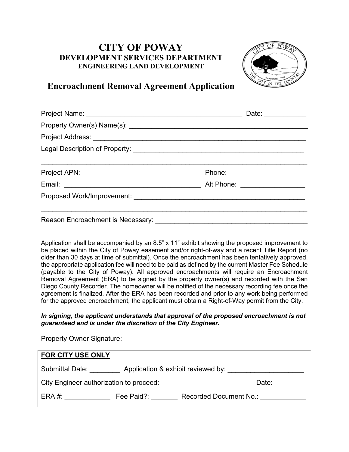## **CITY OF POWAY DEVELOPMENT SERVICES DEPARTMENT ENGINEERING LAND DEVELOPMENT**



## **Encroachment Removal Agreement Application**

| Project Name: William Communication of the Communication of the Communication of the Communication of the Communication of the Communication of the Communication of the Communication of the Communication of the Communicati | Date: ____________              |
|--------------------------------------------------------------------------------------------------------------------------------------------------------------------------------------------------------------------------------|---------------------------------|
|                                                                                                                                                                                                                                |                                 |
|                                                                                                                                                                                                                                |                                 |
| Legal Description of Property: [1994] [2010] [2010] [2010] [2010] [2010] [2010] [2010] [2010] [2010] [2010] [2010] [2010] [2010] [2010] [2010] [2010] [2010] [2010] [2010] [2010] [2010] [2010] [2010] [2010] [2010] [2010] [2 |                                 |
|                                                                                                                                                                                                                                | Phone: ________________________ |
|                                                                                                                                                                                                                                |                                 |
|                                                                                                                                                                                                                                |                                 |
|                                                                                                                                                                                                                                |                                 |

Application shall be accompanied by an 8.5" x 11" exhibit showing the proposed improvement to be placed within the City of Poway easement and/or right-of-way and a recent Title Report (no older than 30 days at time of submittal). Once the encroachment has been tentatively approved, the appropriate application fee will need to be paid as defined by the current Master Fee Schedule (payable to the City of Poway). All approved encroachments will require an Encroachment Removal Agreement (ERA) to be signed by the property owner(s) and recorded with the San Diego County Recorder. The homeowner will be notified of the necessary recording fee once the agreement is finalized. After the ERA has been recorded and prior to any work being performed for the approved encroachment, the applicant must obtain a Right-of-Way permit from the City.

\_\_\_\_\_\_\_\_\_\_\_\_\_\_\_\_\_\_\_\_\_\_\_\_\_\_\_\_\_\_\_\_\_\_\_\_\_\_\_\_\_\_\_\_\_\_\_\_\_\_\_\_\_\_\_\_\_\_\_\_\_\_\_\_\_\_\_\_\_\_

## *In signing, the applicant understands that approval of the proposed encroachment is not guaranteed and is under the discretion of the City Engineer.*

| <b>Property Owner Signature:</b> The Contract of the Contract of the Contract of the Contract of the Contract of the Contract of the Contract of the Contract of the Contract of the Contract of the Contract of the Contract of th |            |                        |  |
|-------------------------------------------------------------------------------------------------------------------------------------------------------------------------------------------------------------------------------------|------------|------------------------|--|
| FOR CITY USE ONLY                                                                                                                                                                                                                   |            |                        |  |
| Application & exhibit reviewed by:<br>Submittal Date:                                                                                                                                                                               |            |                        |  |
| City Engineer authorization to proceed:                                                                                                                                                                                             |            | Date:                  |  |
| ERA #:                                                                                                                                                                                                                              | Fee Paid?: | Recorded Document No.: |  |